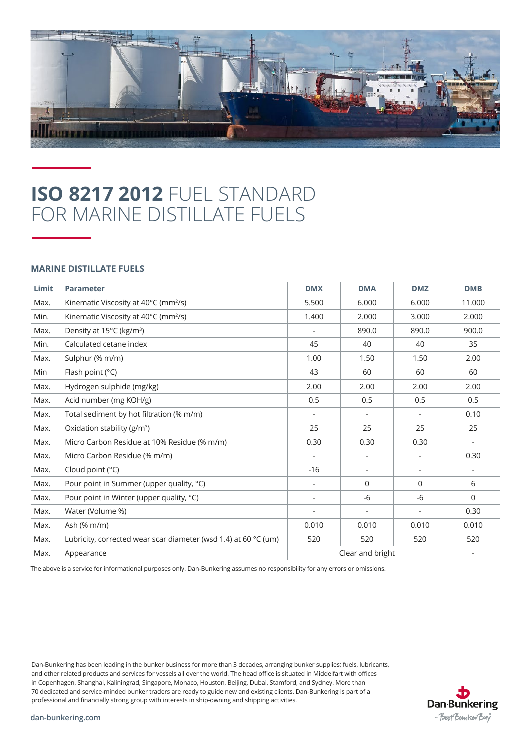

## **ISO 8217 2012** FUEL STANDARD FOR MARINE DISTILLATE FUELS

## **MARINE DISTILLATE FUELS**

| Limit | <b>Parameter</b>                                                | <b>DMX</b>       | <b>DMA</b>               | <b>DMZ</b>               | <b>DMB</b>               |
|-------|-----------------------------------------------------------------|------------------|--------------------------|--------------------------|--------------------------|
| Max.  | Kinematic Viscosity at 40°C (mm <sup>2</sup> /s)                | 5.500            | 6.000                    | 6.000                    | 11.000                   |
| Min.  | Kinematic Viscosity at 40°C (mm <sup>2</sup> /s)                | 1.400            | 2.000                    | 3.000                    | 2.000                    |
| Max.  | Density at 15°C (kg/m <sup>3</sup> )                            | $\overline{a}$   | 890.0                    | 890.0                    | 900.0                    |
| Min.  | Calculated cetane index                                         | 45               | 40                       | 40                       | 35                       |
| Max.  | Sulphur (% m/m)                                                 | 1.00             | 1.50                     | 1.50                     | 2.00                     |
| Min   | Flash point (°C)                                                | 43               | 60                       | 60                       | 60                       |
| Max.  | Hydrogen sulphide (mg/kg)                                       | 2.00             | 2.00                     | 2.00                     | 2.00                     |
| Max.  | Acid number (mg KOH/g)                                          | 0.5              | 0.5                      | 0.5                      | 0.5                      |
| Max.  | Total sediment by hot filtration (% m/m)                        |                  |                          |                          | 0.10                     |
| Max.  | Oxidation stability ( $g/m^3$ )                                 | 25               | 25                       | 25                       | 25                       |
| Max.  | Micro Carbon Residue at 10% Residue (% m/m)                     | 0.30             | 0.30                     | 0.30                     | $\overline{\phantom{a}}$ |
| Max.  | Micro Carbon Residue (% m/m)                                    | ÷,               | $\overline{a}$           |                          | 0.30                     |
| Max.  | Cloud point (°C)                                                | $-16$            | $\overline{\phantom{a}}$ | $\overline{\phantom{a}}$ | $\overline{\phantom{a}}$ |
| Max.  | Pour point in Summer (upper quality, °C)                        | ÷,               | $\Omega$                 | $\Omega$                 | 6                        |
| Max.  | Pour point in Winter (upper quality, °C)                        | $\overline{a}$   | $-6$                     | $-6$                     | $\mathbf 0$              |
| Max.  | Water (Volume %)                                                | $\overline{a}$   | $\overline{\phantom{a}}$ | $\overline{\phantom{a}}$ | 0.30                     |
| Max.  | Ash (% m/m)                                                     | 0.010            | 0.010                    | 0.010                    | 0.010                    |
| Max.  | Lubricity, corrected wear scar diameter (wsd 1.4) at 60 °C (um) | 520              | 520                      | 520                      | 520                      |
| Max.  | Appearance                                                      | Clear and bright | $\overline{\phantom{a}}$ |                          |                          |

The above is a service for informational purposes only. Dan-Bunkering assumes no responsibility for any errors or omissions.

Dan-Bunkering has been leading in the bunker business for more than 3 decades, arranging bunker supplies; fuels, lubricants, and other related products and services for vessels all over the world. The head office is situated in Middelfart with offices in Copenhagen, Shanghai, Kaliningrad, Singapore, Monaco, Houston, Beijing, Dubai, Stamford, and Sydney. More than 70 dedicated and service-minded bunker traders are ready to guide new and existing clients. Dan-Bunkering is part of a professional and financially strong group with interests in ship-owning and shipping activities.